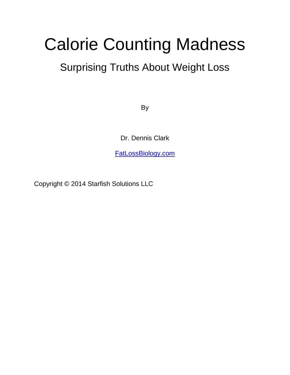# Calorie Counting Madness

## Surprising Truths About Weight Loss

By

Dr. Dennis Clark

[FatLossBiology.com](http://fatlossbiology.com/)

Copyright © 2014 Starfish Solutions LLC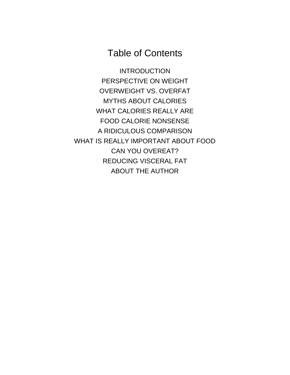## Table of Contents

<span id="page-1-0"></span>[INTRODUCTION](#page-1-0) [PERSPECTIVE ON WEIGHT](#page-3-0) OVERWEIGHT VS. OVERFAT MYTHS ABOUT CALORIES WHAT CALORIES REALLY ARE FOOD CALORIE NONSENSE A RIDICULOUS COMPARISON WHAT IS REALLY IMPORTANT ABOUT FOOD CAN YOU OVEREAT? REDUCING VISCERAL FAT ABOUT THE AUTHOR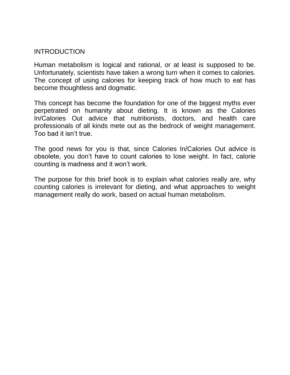#### INTRODUCTION

Human metabolism is logical and rational, or at least is supposed to be. Unfortunately, scientists have taken a wrong turn when it comes to calories. The concept of using calories for keeping track of how much to eat has become thoughtless and dogmatic.

This concept has become the foundation for one of the biggest myths ever perpetrated on humanity about dieting. It is known as the Calories In/Calories Out advice that nutritionists, doctors, and health care professionals of all kinds mete out as the bedrock of weight management. Too bad it isn't true.

The good news for you is that, since Calories In/Calories Out advice is obsolete, you don't have to count calories to lose weight. In fact, calorie counting is madness and it won't work.

The purpose for this brief book is to explain what calories really are, why counting calories is irrelevant for dieting, and what approaches to weight management really do work, based on actual human metabolism.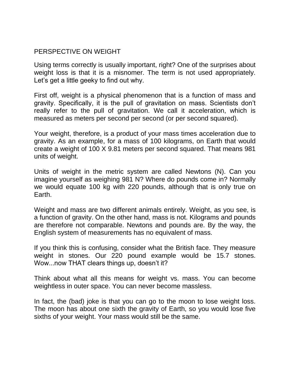### <span id="page-3-0"></span>PERSPECTIVE ON WEIGHT

Using terms correctly is usually important, right? One of the surprises about weight loss is that it is a misnomer. The term is not used appropriately. Let's get a little geeky to find out why.

First off, weight is a physical phenomenon that is a function of mass and gravity. Specifically, it is the pull of gravitation on mass. Scientists don't really refer to the pull of gravitation. We call it acceleration, which is measured as meters per second per second (or per second squared).

Your weight, therefore, is a product of your mass times acceleration due to gravity. As an example, for a mass of 100 kilograms, on Earth that would create a weight of 100 X 9.81 meters per second squared. That means 981 units of weight.

Units of weight in the metric system are called Newtons (N). Can you imagine yourself as weighing 981 N? Where do pounds come in? Normally we would equate 100 kg with 220 pounds, although that is only true on Earth.

Weight and mass are two different animals entirely. Weight, as you see, is a function of gravity. On the other hand, mass is not. Kilograms and pounds are therefore not comparable. Newtons and pounds are. By the way, the English system of measurements has no equivalent of mass.

If you think this is confusing, consider what the British face. They measure weight in stones. Our 220 pound example would be 15.7 stones. Wow...now THAT clears things up, doesn't it?

Think about what all this means for weight vs. mass. You can become weightless in outer space. You can never become massless.

In fact, the (bad) joke is that you can go to the moon to lose weight loss. The moon has about one sixth the gravity of Earth, so you would lose five sixths of your weight. Your mass would still be the same.